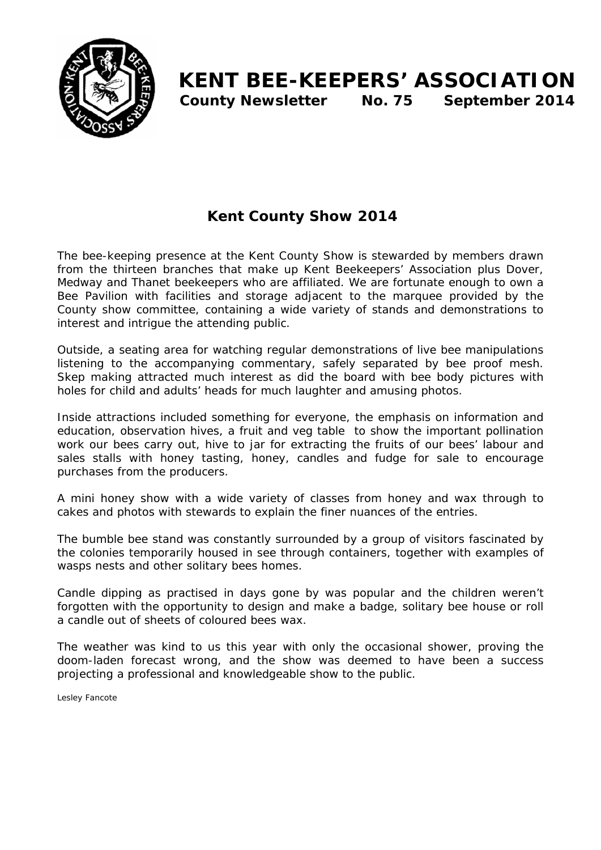

# **Kent County Show 2014**

The bee-keeping presence at the Kent County Show is stewarded by members drawn from the thirteen branches that make up Kent Beekeepers' Association plus Dover, Medway and Thanet beekeepers who are affiliated. We are fortunate enough to own a Bee Pavilion with facilities and storage adjacent to the marquee provided by the County show committee, containing a wide variety of stands and demonstrations to interest and intrigue the attending public.

Outside, a seating area for watching regular demonstrations of live bee manipulations listening to the accompanying commentary, safely separated by bee proof mesh. Skep making attracted much interest as did the board with bee body pictures with holes for child and adults' heads for much laughter and amusing photos.

Inside attractions included something for everyone, the emphasis on information and education, observation hives, a fruit and veg table to show the important pollination work our bees carry out, hive to jar for extracting the fruits of our bees' labour and sales stalls with honey tasting, honey, candles and fudge for sale to encourage purchases from the producers.

A mini honey show with a wide variety of classes from honey and wax through to cakes and photos with stewards to explain the finer nuances of the entries.

The bumble bee stand was constantly surrounded by a group of visitors fascinated by the colonies temporarily housed in see through containers, together with examples of wasps nests and other solitary bees homes.

Candle dipping as practised in days gone by was popular and the children weren't forgotten with the opportunity to design and make a badge, solitary bee house or roll a candle out of sheets of coloured bees wax.

The weather was kind to us this year with only the occasional shower, proving the doom-laden forecast wrong, and the show was deemed to have been a success projecting a professional and knowledgeable show to the public.

*Lesley Fancote*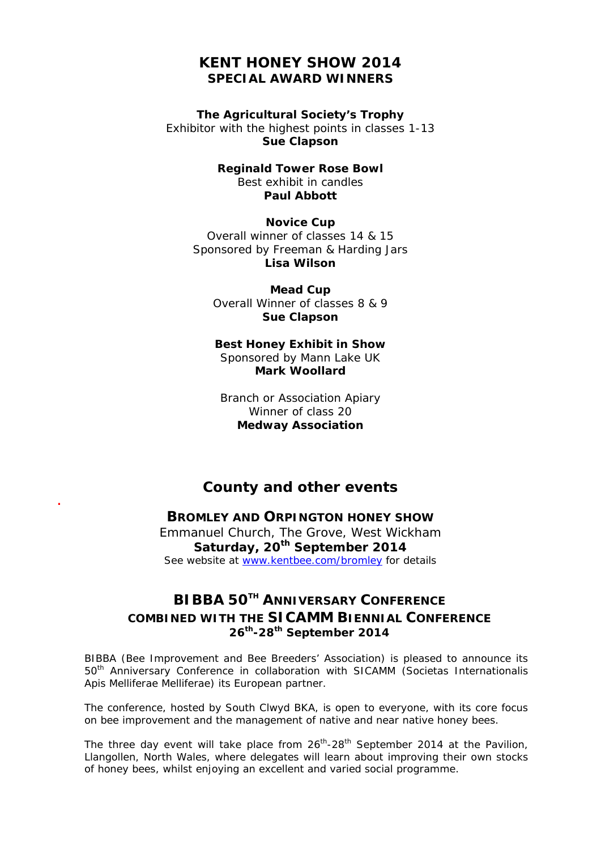### **KENT HONEY SHOW 2014 SPECIAL AWARD WINNERS**

**The Agricultural Society's Trophy**  Exhibitor with the highest points in classes 1-13 **Sue Clapson** 

> **Reginald Tower Rose Bowl**  Best exhibit in candles **Paul Abbott**

**Novice Cup**  Overall winner of classes 14 & 15 Sponsored by Freeman & Harding Jars **Lisa Wilson** 

**Mead Cup**  Overall Winner of classes 8 & 9 **Sue Clapson** 

#### **Best Honey Exhibit in Show**  Sponsored by Mann Lake UK **Mark Woollard**

Branch or Association Apiary Winner of class 20 **Medway Association** 

## **County and other events .**

### **BROMLEY AND ORPINGTON HONEY SHOW**

Emmanuel Church, The Grove, West Wickham **Saturday, 20th September 2014**  See website at www.kentbee.com/bromley for details

# **BIBBA 50TH ANNIVERSARY CONFERENCE COMBINED WITH THE SICAMM BIENNIAL CONFERENCE 26th-28th September 2014**

BIBBA (Bee Improvement and Bee Breeders' Association) is pleased to announce its 50th Anniversary Conference in collaboration with SICAMM (*Societas Internationalis Apis Melliferae Melliferae)* its European partner.

The conference, hosted by South Clwyd BKA, is open to everyone, with its core focus on bee improvement and the management of native and near native honey bees.

The three day event will take place from  $26<sup>th</sup> - 28<sup>th</sup>$  September 2014 at the Pavilion, Llangollen, North Wales, where delegates will learn about improving their own stocks of honey bees, whilst enjoying an excellent and varied social programme.